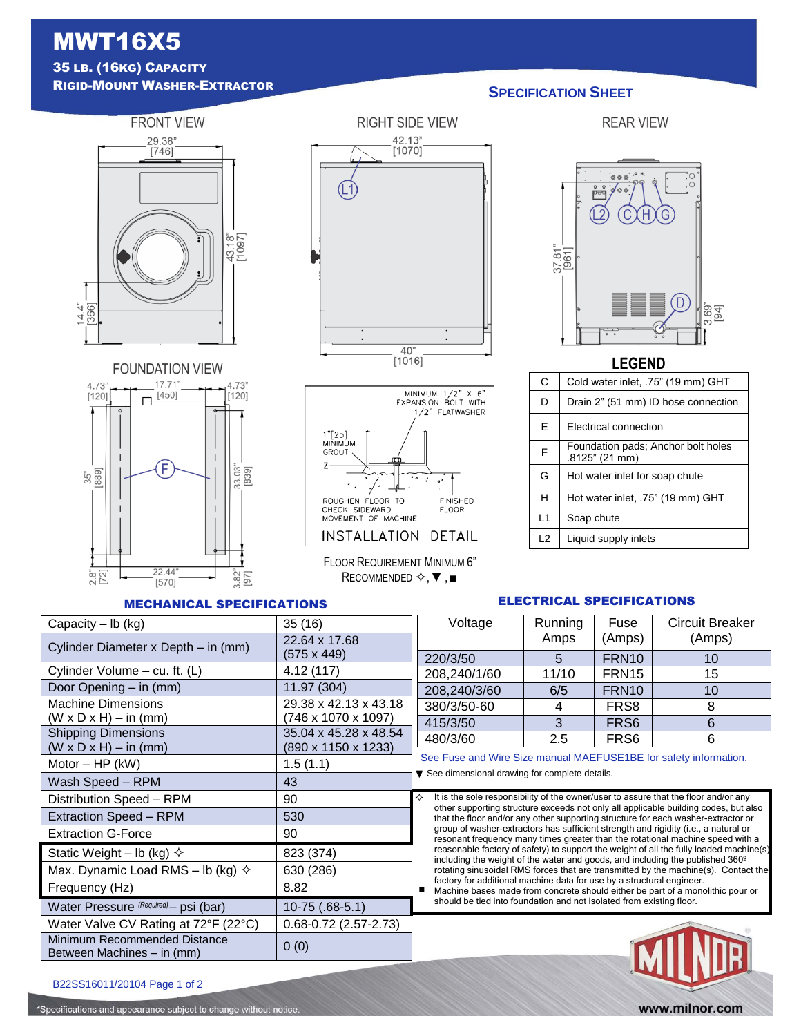## MWT16X5 35 LB. (16KG) CAPACITY

<sup>R</sup>IGID-MOUNT WASHER-EXTRACTOR **SPECIFICATION SHEET**

## **FRONT VIEW** 29.38"<br>[746] 43.18"<br>[1097]  $14.4^{\circ}$ <br>[366]



# **RIGHT SIDE VIEW** 42.13"<br>[1070] (L1)  $\frac{40"}{\left[1016\right]}$



FLOOR REQUIREMENT MINIMUM 6" RECOMMENDED  $\diamondsuit$ ,  $\blacktriangledown$ ,  $\blacksquare$ 

#### $0000000$ Ġ ∲००ं -<br>ਇ  $\overline{Q}$  $\Gamma$ H)  $\frac{37.81}{[961]}$  $\left( D \right)$ 3.69"

#### **LEGEND**

| C  | Cold water inlet, .75" (19 mm) GHT                   |
|----|------------------------------------------------------|
| D  | Drain 2" (51 mm) ID hose connection                  |
| E  | <b>Electrical connection</b>                         |
| F  | Foundation pads; Anchor bolt holes<br>.8125" (21 mm) |
| G  | Hot water inlet for soap chute                       |
| н  | Hot water inlet, .75" (19 mm) GHT                    |
| L1 | Soap chute                                           |
| L2 | Liquid supply inlets                                 |

#### MECHANICAL SPECIFICATIONS

#### ELECTRICAL SPECIFICATIONS

| <u>UHANIVAL UFLUII IUA HUNU</u>                            |                           |                                                                                                                                                                                                                                                                                                                                                                                                                                                                                                                                                                                                                                |         |                   |                        |  |  |
|------------------------------------------------------------|---------------------------|--------------------------------------------------------------------------------------------------------------------------------------------------------------------------------------------------------------------------------------------------------------------------------------------------------------------------------------------------------------------------------------------------------------------------------------------------------------------------------------------------------------------------------------------------------------------------------------------------------------------------------|---------|-------------------|------------------------|--|--|
| Capacity $-$ lb (kg)                                       | 35(16)                    | Voltage                                                                                                                                                                                                                                                                                                                                                                                                                                                                                                                                                                                                                        | Running | Fuse              | <b>Circuit Breaker</b> |  |  |
| Cylinder Diameter x Depth - in (mm)                        | 22.64 x 17.68             |                                                                                                                                                                                                                                                                                                                                                                                                                                                                                                                                                                                                                                | Amps    | (Amps)            | (Amps)                 |  |  |
|                                                            | $(575 \times 449)$        | 220/3/50                                                                                                                                                                                                                                                                                                                                                                                                                                                                                                                                                                                                                       | 5       | FRN <sub>10</sub> | 10                     |  |  |
| Cylinder Volume - cu. ft. (L)                              | 4.12(117)                 | 208,240/1/60                                                                                                                                                                                                                                                                                                                                                                                                                                                                                                                                                                                                                   | 11/10   | FRN <sub>15</sub> | 15                     |  |  |
| Door Opening - in (mm)                                     | 11.97 (304)               | 208,240/3/60                                                                                                                                                                                                                                                                                                                                                                                                                                                                                                                                                                                                                   | 6/5     | FRN <sub>10</sub> | 10                     |  |  |
| <b>Machine Dimensions</b>                                  | 29.38 x 42.13 x 43.18     | 380/3/50-60                                                                                                                                                                                                                                                                                                                                                                                                                                                                                                                                                                                                                    | 4       | FR <sub>S</sub> 8 | 8                      |  |  |
| $(W \times D \times H) - in (mm)$                          | (746 x 1070 x 1097)       | 415/3/50                                                                                                                                                                                                                                                                                                                                                                                                                                                                                                                                                                                                                       | 3       | FR <sub>S6</sub>  | 6                      |  |  |
| <b>Shipping Dimensions</b>                                 | 35.04 x 45.28 x 48.54     | 480/3/60                                                                                                                                                                                                                                                                                                                                                                                                                                                                                                                                                                                                                       | 2.5     | FR <sub>S6</sub>  | 6                      |  |  |
| $(W \times D \times H) - in (mm)$<br>(890 x 1150 x 1233)   |                           | See Fuse and Wire Size manual MAEFUSE1BE for safety information.<br>▼ See dimensional drawing for complete details.                                                                                                                                                                                                                                                                                                                                                                                                                                                                                                            |         |                   |                        |  |  |
| 1.5(1.1)<br>Motor $-$ HP (kW)                              |                           |                                                                                                                                                                                                                                                                                                                                                                                                                                                                                                                                                                                                                                |         |                   |                        |  |  |
| Wash Speed - RPM                                           |                           |                                                                                                                                                                                                                                                                                                                                                                                                                                                                                                                                                                                                                                |         |                   |                        |  |  |
| Distribution Speed - RPM<br>90                             |                           | It is the sole responsibility of the owner/user to assure that the floor and/or any<br>❖                                                                                                                                                                                                                                                                                                                                                                                                                                                                                                                                       |         |                   |                        |  |  |
| <b>Extraction Speed - RPM</b>                              | 530                       | other supporting structure exceeds not only all applicable building codes, but also<br>that the floor and/or any other supporting structure for each washer-extractor or<br>group of washer-extractors has sufficient strength and rigidity (i.e., a natural or<br>resonant frequency many times greater than the rotational machine speed with a<br>reasonable factory of safety) to support the weight of all the fully loaded machine(s)<br>including the weight of the water and goods, and including the published 360 <sup>o</sup><br>rotating sinusoidal RMS forces that are transmitted by the machine(s). Contact the |         |                   |                        |  |  |
| <b>Extraction G-Force</b>                                  | 90                        |                                                                                                                                                                                                                                                                                                                                                                                                                                                                                                                                                                                                                                |         |                   |                        |  |  |
| Static Weight – lb (kg) $\diamond$                         | 823 (374)                 |                                                                                                                                                                                                                                                                                                                                                                                                                                                                                                                                                                                                                                |         |                   |                        |  |  |
| Max. Dynamic Load RMS - lb (kg) $\diamond$                 | 630 (286)                 |                                                                                                                                                                                                                                                                                                                                                                                                                                                                                                                                                                                                                                |         |                   |                        |  |  |
| Frequency (Hz)<br>8.82                                     |                           | factory for additional machine data for use by a structural engineer.<br>Machine bases made from concrete should either be part of a monolithic pour or<br>should be tied into foundation and not isolated from existing floor.                                                                                                                                                                                                                                                                                                                                                                                                |         |                   |                        |  |  |
| Water Pressure (Required) - psi (bar)                      |                           |                                                                                                                                                                                                                                                                                                                                                                                                                                                                                                                                                                                                                                |         |                   |                        |  |  |
| Water Valve CV Rating at 72°F (22°C)                       | $0.68 - 0.72$ (2.57-2.73) |                                                                                                                                                                                                                                                                                                                                                                                                                                                                                                                                                                                                                                |         |                   |                        |  |  |
| Minimum Recommended Distance<br>Between Machines – in (mm) |                           |                                                                                                                                                                                                                                                                                                                                                                                                                                                                                                                                                                                                                                |         |                   |                        |  |  |
|                                                            |                           |                                                                                                                                                                                                                                                                                                                                                                                                                                                                                                                                                                                                                                |         |                   |                        |  |  |

B22SS16011/20104 Page 1 of 2

\*Specifications and appearance subject to change without notice.



**REAR VIEW**